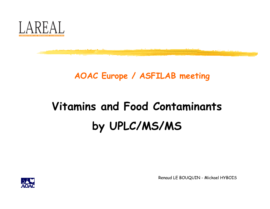

# AOAC Europe / ASFILAB meeting

# Vitamins and Food Contaminants by UPLC/MS/MS



Renaud LE BOUQUIN - Mickael HYBOIS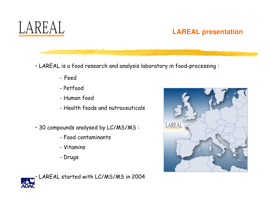

# **LAREAL presentation**

• LAREAL is a food research and analysis laboratory in food-processing :

- Feed
- Petfood
- Human food
- Health foods and nutraceuticals
- 30 compounds analysed by LC/MS/MS :
	- Food contaminants
	- Vitamins
	- Drugs



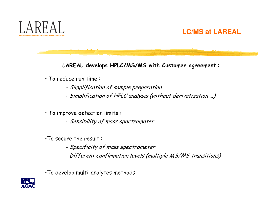

# **LC/MS at LAREAL**

LAREAL develops HPLC/MS/MS with Customer agreement :

- To reduce run time :
	- Simplification of sample preparation
	- Simplification of HPLC analysis (without derivatization …)

• To improve detection limits :

- Sensibility of mass spectrometer
- •To secure the result :
	- Specificity of mass spectrometer
	- Different confirmation levels (multiple MS/MS transitions)
- •To develop multi-analytes methods

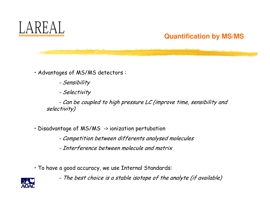

# **Quantification by MS/MS**

• Advantages of MS/MS detectors :

- Sensibility
- Selectivity

- Can be coupled to high pressure LC (improve time, sensibility and selectivity)

- Disadvantage of MS/MS -> ionization pertubation
	- Competition between differents analysed molecules
	- Interference between molecule and matrix
- To have a good accuracy, we use Internal Standards:
	- The best choice is a stable isotope of the analyte (if available)

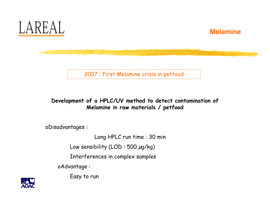



2007 : First Melamine crisis in petfood

#### Development of a HPLC/UV method to detect contamination of Melamine in raw materials / petfood

oDisadvantages :

Long HPLC run time : 30 min

Low sensibility (LOD : 500 µg/kg)

Interferences in complex samples

oAdvantage :

Easy to run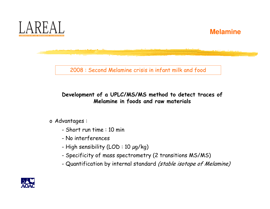

2008 : Second Melamine crisis in infant milk and food

Development of a UPLC/MS/MS method to detect traces ofMelamine in foods and raw materials

<sup>o</sup> Advantages :

- Short run time : 10 min
- No interferences
- High sensibility (LOD : 10 µg/kg)
- Specificity of mass spectrometry (2 transitions MS/MS)
- Quantification by internal standard (stable isotope of Melamine)

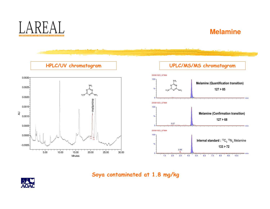



Soya contaminated at 1.8 mg/kg

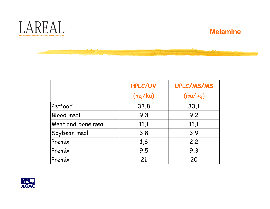



|                    | <b>HPLC/UV</b><br>(mg/kg) | UPLC/MS/MS<br>(mg/kg) |
|--------------------|---------------------------|-----------------------|
| Petfood            | 33,8                      | 33,1                  |
| Blood meal         | 9,3                       | 9,2                   |
| Meat and bone meal | 11,1                      | 11,1                  |
| Soybean meal       | 3,8                       | 3,9                   |
| Premix             | 1,8                       | 2,2                   |
| Premix             | 9,5                       | 9,3                   |
| Premix             | 21                        | 20                    |

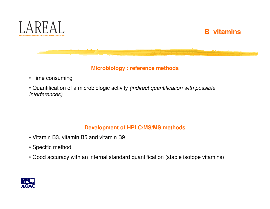

#### **Microbiology : reference methods**

- Time consuming
- Quantification of a microbiologic activity (indirect quantification with possible interferences)

#### **Development of HPLC/MS/MS methods**

- Vitamin B3, vitamin B5 and vitamin B9
- Specific method
- Good accuracy with an internal standard quantification (stable isotope vitamins)

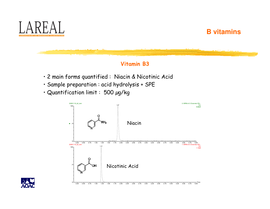

#### Vitamin B3

- 2 main forms quantified : Niacin & Nicotinic Acid
- Sample preparation : acid hydrolysis + SPE
- Quantification limit : 500 µg/kg



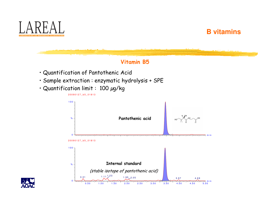



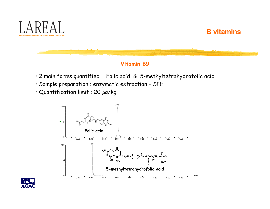

#### Vitamin B9

- 2 main forms quantified : Folic acid & 5-methyltetrahydrofolic acid
- Sample preparation : enzymatic extraction + SPE
- Quantification limit : 20 µg/kg



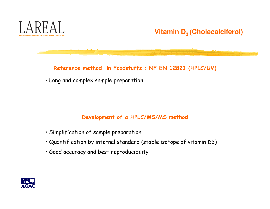

# **Vitamin D3 (Cholecalciferol)**

#### Reference method in Foodstuffs : NF EN 12821 (HPLC/UV)

• Long and complex sample preparation

#### Development of a HPLC/MS/MS method

- Simplification of sample preparation
- Quantification by internal standard (stable isotope of vitamin D3)
- Good accuracy and best reproducibility

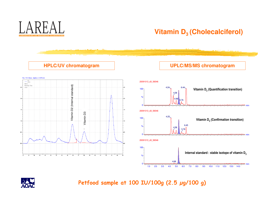

# **Vitamin D3 (Cholecalciferol)**

**UPLC/MS/MS chromatogram**

#### **HPLC/UV chromatogram**







### Petfood sample at 100 IU/100g (2.5 µg/100 g)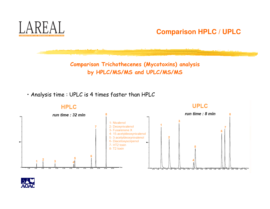

**Comparison HPLC / UPLC**

Comparison Trichothecenes (Mycotoxins) analysis by HPLC/MS/MS and UPLC/MS/MS

• Analysis time : UPLC is 4 times faster than HPLC

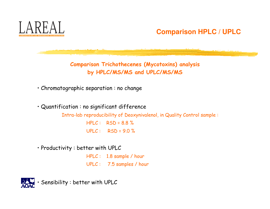

# **Comparison HPLC / UPLC**

Comparison Trichothecenes (Mycotoxins) analysis by HPLC/MS/MS and UPLC/MS/MS

• Chromatographic separation : no change

• Quantification : no significant difference

Intra-lab reproducibility of Deoxynivalenol, in Quality Control sample :  $HPLC: RSD = 8.8 \%$  $UPLC: RSD = 9.0 \%$ 

• Productivity : better with UPLC

HPLC : 1.8 sample / hour UPLC : 7.5 samples / hour

• Sensibility : better with UPLC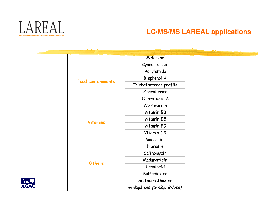

# **LC/MS/MS LAREAL applications**

|                          | Melamine                    |
|--------------------------|-----------------------------|
|                          | Cyanuric acid               |
|                          | Acrylamide                  |
|                          | Bisphenol A                 |
| <b>Food contaminants</b> | Trichothecenes profile      |
|                          | Zearalenone                 |
|                          | Ochratoxin A                |
|                          | Wortmannin                  |
|                          | Vitamin B3                  |
| <b>Vitamins</b>          | Vitamin B5                  |
|                          | Vitamin B9                  |
|                          | Vitamin D3                  |
|                          | Monensin                    |
|                          | Narasin                     |
|                          | Salinomycin                 |
| <b>Others</b>            | Maduramicin                 |
|                          | Lasalocid                   |
|                          | Sulfadiazine                |
|                          | Sulfadimethoxine            |
|                          | Ginkgolides (Ginkgo Biloba) |